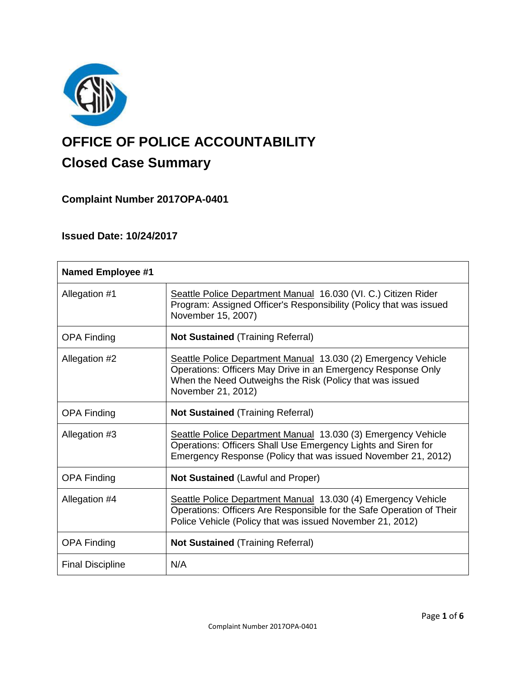

# **OFFICE OF POLICE ACCOUNTABILITY**

## **Closed Case Summary**

**Complaint Number 2017OPA-0401**

### **Issued Date: 10/24/2017**

| <b>Named Employee #1</b> |                                                                                                                                                                                                                 |
|--------------------------|-----------------------------------------------------------------------------------------------------------------------------------------------------------------------------------------------------------------|
| Allegation #1            | Seattle Police Department Manual 16.030 (VI. C.) Citizen Rider<br>Program: Assigned Officer's Responsibility (Policy that was issued<br>November 15, 2007)                                                      |
| <b>OPA Finding</b>       | <b>Not Sustained (Training Referral)</b>                                                                                                                                                                        |
| Allegation #2            | Seattle Police Department Manual 13.030 (2) Emergency Vehicle<br>Operations: Officers May Drive in an Emergency Response Only<br>When the Need Outweighs the Risk (Policy that was issued<br>November 21, 2012) |
| <b>OPA Finding</b>       | <b>Not Sustained (Training Referral)</b>                                                                                                                                                                        |
| Allegation #3            | Seattle Police Department Manual 13.030 (3) Emergency Vehicle<br>Operations: Officers Shall Use Emergency Lights and Siren for<br>Emergency Response (Policy that was issued November 21, 2012)                 |
| <b>OPA Finding</b>       | <b>Not Sustained (Lawful and Proper)</b>                                                                                                                                                                        |
| Allegation #4            | Seattle Police Department Manual 13.030 (4) Emergency Vehicle<br>Operations: Officers Are Responsible for the Safe Operation of Their<br>Police Vehicle (Policy that was issued November 21, 2012)              |
| <b>OPA Finding</b>       | <b>Not Sustained (Training Referral)</b>                                                                                                                                                                        |
| <b>Final Discipline</b>  | N/A                                                                                                                                                                                                             |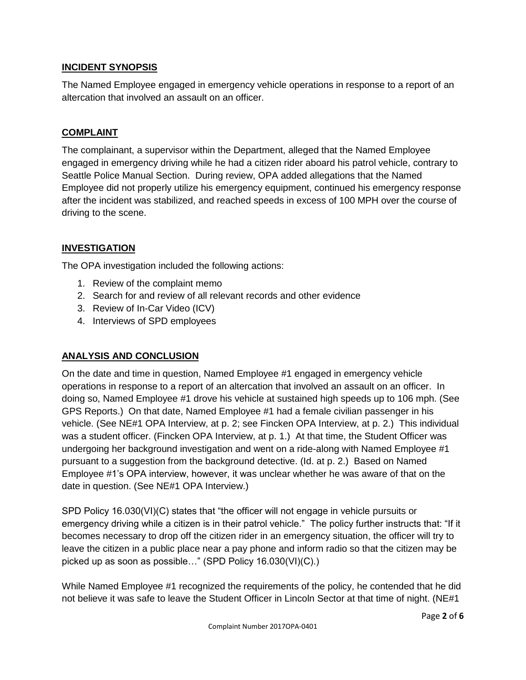#### **INCIDENT SYNOPSIS**

The Named Employee engaged in emergency vehicle operations in response to a report of an altercation that involved an assault on an officer.

#### **COMPLAINT**

The complainant, a supervisor within the Department, alleged that the Named Employee engaged in emergency driving while he had a citizen rider aboard his patrol vehicle, contrary to Seattle Police Manual Section. During review, OPA added allegations that the Named Employee did not properly utilize his emergency equipment, continued his emergency response after the incident was stabilized, and reached speeds in excess of 100 MPH over the course of driving to the scene.

#### **INVESTIGATION**

The OPA investigation included the following actions:

- 1. Review of the complaint memo
- 2. Search for and review of all relevant records and other evidence
- 3. Review of In-Car Video (ICV)
- 4. Interviews of SPD employees

#### **ANALYSIS AND CONCLUSION**

On the date and time in question, Named Employee #1 engaged in emergency vehicle operations in response to a report of an altercation that involved an assault on an officer. In doing so, Named Employee #1 drove his vehicle at sustained high speeds up to 106 mph. (See GPS Reports.) On that date, Named Employee #1 had a female civilian passenger in his vehicle. (See NE#1 OPA Interview, at p. 2; see Fincken OPA Interview, at p. 2.) This individual was a student officer. (Fincken OPA Interview, at p. 1.) At that time, the Student Officer was undergoing her background investigation and went on a ride-along with Named Employee #1 pursuant to a suggestion from the background detective. (Id. at p. 2.) Based on Named Employee #1's OPA interview, however, it was unclear whether he was aware of that on the date in question. (See NE#1 OPA Interview.)

SPD Policy 16.030(VI)(C) states that "the officer will not engage in vehicle pursuits or emergency driving while a citizen is in their patrol vehicle." The policy further instructs that: "If it becomes necessary to drop off the citizen rider in an emergency situation, the officer will try to leave the citizen in a public place near a pay phone and inform radio so that the citizen may be picked up as soon as possible…" (SPD Policy 16.030(VI)(C).)

While Named Employee #1 recognized the requirements of the policy, he contended that he did not believe it was safe to leave the Student Officer in Lincoln Sector at that time of night. (NE#1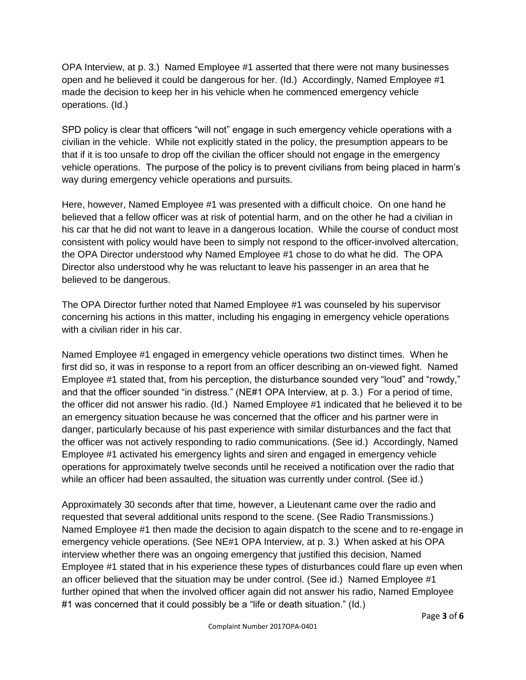OPA Interview, at p. 3.) Named Employee #1 asserted that there were not many businesses open and he believed it could be dangerous for her. (Id.) Accordingly, Named Employee #1 made the decision to keep her in his vehicle when he commenced emergency vehicle operations. (Id.)

SPD policy is clear that officers "will not" engage in such emergency vehicle operations with a civilian in the vehicle. While not explicitly stated in the policy, the presumption appears to be that if it is too unsafe to drop off the civilian the officer should not engage in the emergency vehicle operations. The purpose of the policy is to prevent civilians from being placed in harm's way during emergency vehicle operations and pursuits.

Here, however, Named Employee #1 was presented with a difficult choice. On one hand he believed that a fellow officer was at risk of potential harm, and on the other he had a civilian in his car that he did not want to leave in a dangerous location. While the course of conduct most consistent with policy would have been to simply not respond to the officer-involved altercation, the OPA Director understood why Named Employee #1 chose to do what he did. The OPA Director also understood why he was reluctant to leave his passenger in an area that he believed to be dangerous.

The OPA Director further noted that Named Employee #1 was counseled by his supervisor concerning his actions in this matter, including his engaging in emergency vehicle operations with a civilian rider in his car.

Named Employee #1 engaged in emergency vehicle operations two distinct times. When he first did so, it was in response to a report from an officer describing an on-viewed fight. Named Employee #1 stated that, from his perception, the disturbance sounded very "loud" and "rowdy," and that the officer sounded "in distress." (NE#1 OPA Interview, at p. 3.) For a period of time, the officer did not answer his radio. (Id.) Named Employee #1 indicated that he believed it to be an emergency situation because he was concerned that the officer and his partner were in danger, particularly because of his past experience with similar disturbances and the fact that the officer was not actively responding to radio communications. (See id.) Accordingly, Named Employee #1 activated his emergency lights and siren and engaged in emergency vehicle operations for approximately twelve seconds until he received a notification over the radio that while an officer had been assaulted, the situation was currently under control. (See id.)

Approximately 30 seconds after that time, however, a Lieutenant came over the radio and requested that several additional units respond to the scene. (See Radio Transmissions.) Named Employee #1 then made the decision to again dispatch to the scene and to re-engage in emergency vehicle operations. (See NE#1 OPA Interview, at p. 3.) When asked at his OPA interview whether there was an ongoing emergency that justified this decision, Named Employee #1 stated that in his experience these types of disturbances could flare up even when an officer believed that the situation may be under control. (See id.) Named Employee #1 further opined that when the involved officer again did not answer his radio, Named Employee #1 was concerned that it could possibly be a "life or death situation." (Id.)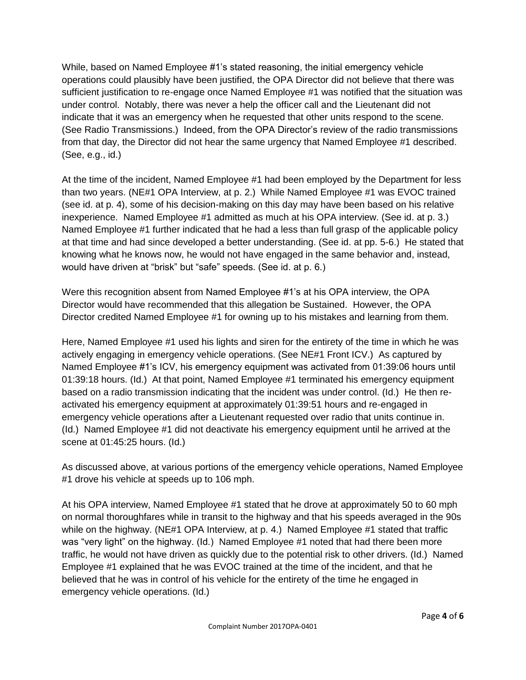While, based on Named Employee #1's stated reasoning, the initial emergency vehicle operations could plausibly have been justified, the OPA Director did not believe that there was sufficient justification to re-engage once Named Employee #1 was notified that the situation was under control. Notably, there was never a help the officer call and the Lieutenant did not indicate that it was an emergency when he requested that other units respond to the scene. (See Radio Transmissions.) Indeed, from the OPA Director's review of the radio transmissions from that day, the Director did not hear the same urgency that Named Employee #1 described. (See, e.g., id.)

At the time of the incident, Named Employee #1 had been employed by the Department for less than two years. (NE#1 OPA Interview, at p. 2.) While Named Employee #1 was EVOC trained (see id. at p. 4), some of his decision-making on this day may have been based on his relative inexperience. Named Employee #1 admitted as much at his OPA interview. (See id. at p. 3.) Named Employee #1 further indicated that he had a less than full grasp of the applicable policy at that time and had since developed a better understanding. (See id. at pp. 5-6.) He stated that knowing what he knows now, he would not have engaged in the same behavior and, instead, would have driven at "brisk" but "safe" speeds. (See id. at p. 6.)

Were this recognition absent from Named Employee #1's at his OPA interview, the OPA Director would have recommended that this allegation be Sustained. However, the OPA Director credited Named Employee #1 for owning up to his mistakes and learning from them.

Here, Named Employee #1 used his lights and siren for the entirety of the time in which he was actively engaging in emergency vehicle operations. (See NE#1 Front ICV.) As captured by Named Employee #1's ICV, his emergency equipment was activated from 01:39:06 hours until 01:39:18 hours. (Id.) At that point, Named Employee #1 terminated his emergency equipment based on a radio transmission indicating that the incident was under control. (Id.) He then reactivated his emergency equipment at approximately 01:39:51 hours and re-engaged in emergency vehicle operations after a Lieutenant requested over radio that units continue in. (Id.) Named Employee #1 did not deactivate his emergency equipment until he arrived at the scene at 01:45:25 hours. (Id.)

As discussed above, at various portions of the emergency vehicle operations, Named Employee #1 drove his vehicle at speeds up to 106 mph.

At his OPA interview, Named Employee #1 stated that he drove at approximately 50 to 60 mph on normal thoroughfares while in transit to the highway and that his speeds averaged in the 90s while on the highway. (NE#1 OPA Interview, at p. 4.) Named Employee #1 stated that traffic was "very light" on the highway. (Id.) Named Employee #1 noted that had there been more traffic, he would not have driven as quickly due to the potential risk to other drivers. (Id.) Named Employee #1 explained that he was EVOC trained at the time of the incident, and that he believed that he was in control of his vehicle for the entirety of the time he engaged in emergency vehicle operations. (Id.)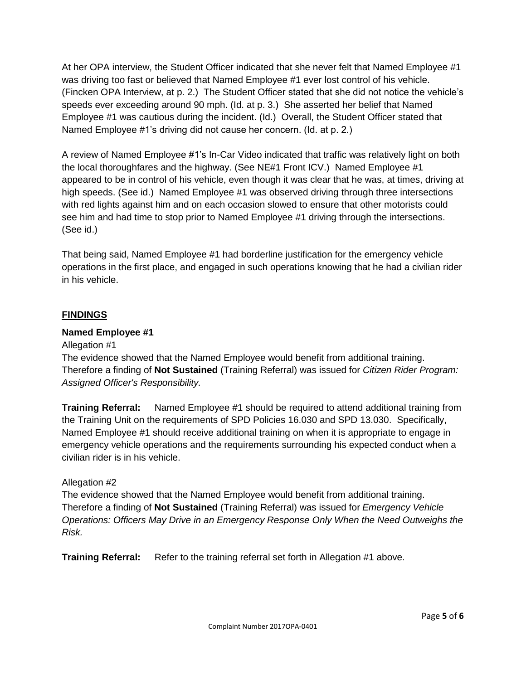At her OPA interview, the Student Officer indicated that she never felt that Named Employee #1 was driving too fast or believed that Named Employee #1 ever lost control of his vehicle. (Fincken OPA Interview, at p. 2.) The Student Officer stated that she did not notice the vehicle's speeds ever exceeding around 90 mph. (Id. at p. 3.) She asserted her belief that Named Employee #1 was cautious during the incident. (Id.) Overall, the Student Officer stated that Named Employee #1's driving did not cause her concern. (Id. at p. 2.)

A review of Named Employee #1's In-Car Video indicated that traffic was relatively light on both the local thoroughfares and the highway. (See NE#1 Front ICV.) Named Employee #1 appeared to be in control of his vehicle, even though it was clear that he was, at times, driving at high speeds. (See id.) Named Employee #1 was observed driving through three intersections with red lights against him and on each occasion slowed to ensure that other motorists could see him and had time to stop prior to Named Employee #1 driving through the intersections. (See id.)

That being said, Named Employee #1 had borderline justification for the emergency vehicle operations in the first place, and engaged in such operations knowing that he had a civilian rider in his vehicle.

#### **FINDINGS**

#### **Named Employee #1**

#### Allegation #1

The evidence showed that the Named Employee would benefit from additional training. Therefore a finding of **Not Sustained** (Training Referral) was issued for *Citizen Rider Program: Assigned Officer's Responsibility.*

**Training Referral:** Named Employee #1 should be required to attend additional training from the Training Unit on the requirements of SPD Policies 16.030 and SPD 13.030. Specifically, Named Employee #1 should receive additional training on when it is appropriate to engage in emergency vehicle operations and the requirements surrounding his expected conduct when a civilian rider is in his vehicle.

#### Allegation #2

The evidence showed that the Named Employee would benefit from additional training. Therefore a finding of **Not Sustained** (Training Referral) was issued for *Emergency Vehicle Operations: Officers May Drive in an Emergency Response Only When the Need Outweighs the Risk.*

**Training Referral:** Refer to the training referral set forth in Allegation #1 above.